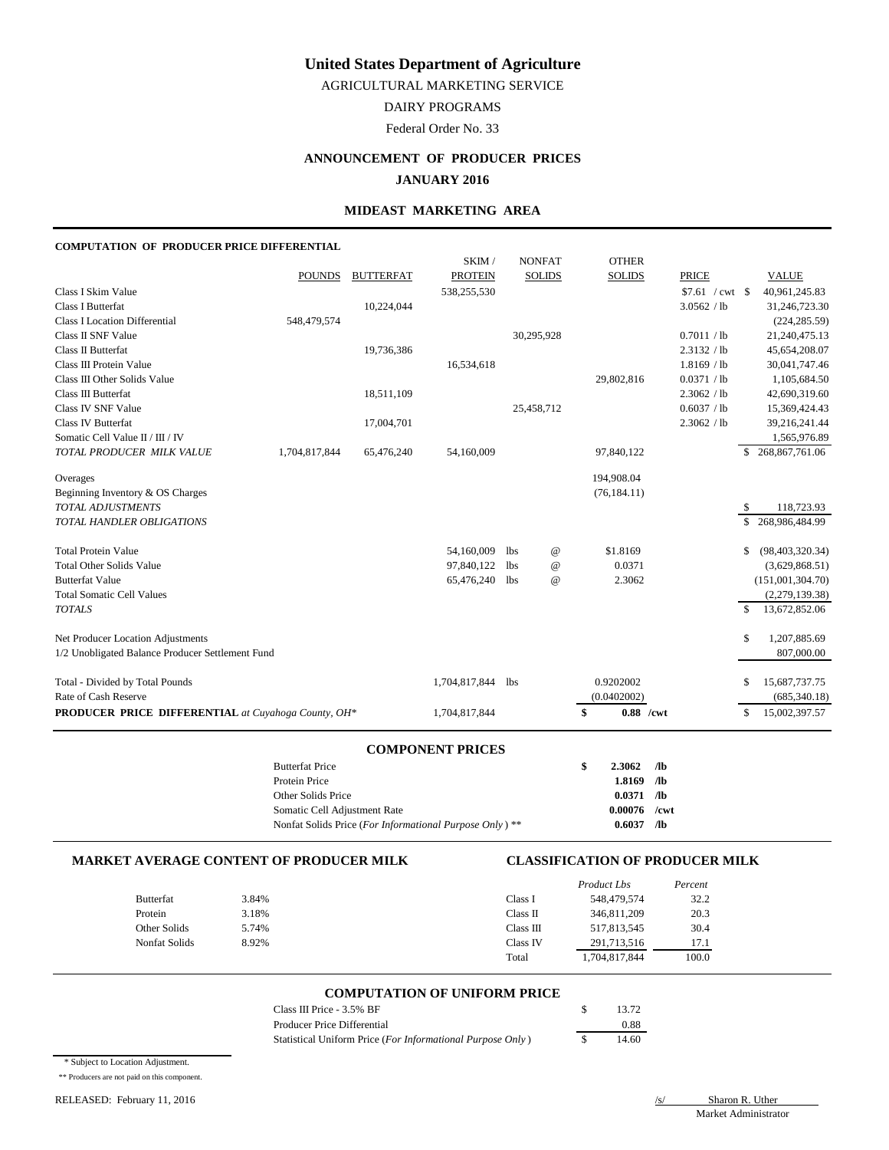AGRICULTURAL MARKETING SERVICE

DAIRY PROGRAMS

Federal Order No. 33

# **ANNOUNCEMENT OF PRODUCER PRICES**

## **JANUARY 2016**

### **MIDEAST MARKETING AREA**

#### **COMPUTATION OF PRODUCER PRICE DIFFERENTIAL**

|                                                            |               |                  | SKIM/          |            | <b>NONFAT</b>   | <b>OTHER</b>      |              |               |                   |
|------------------------------------------------------------|---------------|------------------|----------------|------------|-----------------|-------------------|--------------|---------------|-------------------|
|                                                            | <b>POUNDS</b> | <b>BUTTERFAT</b> | <b>PROTEIN</b> |            | <b>SOLIDS</b>   | <b>SOLIDS</b>     | <b>PRICE</b> |               | <b>VALUE</b>      |
| Class I Skim Value                                         |               |                  | 538,255,530    |            |                 |                   |              |               | 40,961,245.83     |
| Class I Butterfat                                          |               | 10,224,044       |                |            |                 |                   | 3.0562 / lb  |               | 31,246,723.30     |
| <b>Class I Location Differential</b>                       | 548,479,574   |                  |                |            |                 |                   |              |               | (224, 285.59)     |
| <b>Class II SNF Value</b>                                  |               |                  |                |            | 30,295,928      |                   | 0.7011 / lb  |               | 21,240,475.13     |
| Class II Butterfat                                         |               | 19,736,386       |                |            |                 |                   | 2.3132 / lb  |               | 45,654,208.07     |
| Class III Protein Value                                    |               |                  | 16,534,618     |            |                 |                   | 1.8169 / lb  |               | 30,041,747.46     |
| Class III Other Solids Value                               |               |                  |                |            |                 | 29,802,816        | 0.0371 / lb  |               | 1,105,684.50      |
| Class III Butterfat                                        |               | 18,511,109       |                |            |                 |                   | 2.3062 / lb  |               | 42,690,319.60     |
| Class IV SNF Value                                         |               |                  |                |            | 25,458,712      |                   | 0.6037 / lb  |               | 15,369,424.43     |
| <b>Class IV Butterfat</b>                                  |               | 17,004,701       |                |            |                 |                   | 2.3062 / lb  |               | 39,216,241.44     |
| Somatic Cell Value II / III / IV                           |               |                  |                |            |                 |                   |              |               | 1,565,976.89      |
| TOTAL PRODUCER MILK VALUE                                  | 1,704,817,844 | 65,476,240       | 54,160,009     |            |                 | 97,840,122        |              | \$.           | 268,867,761.06    |
| Overages                                                   |               |                  |                |            |                 | 194,908.04        |              |               |                   |
| Beginning Inventory & OS Charges                           |               |                  |                |            |                 | (76, 184.11)      |              |               |                   |
| <b>TOTAL ADJUSTMENTS</b>                                   |               |                  |                |            |                 |                   |              |               | 118,723.93        |
| <b>TOTAL HANDLER OBLIGATIONS</b>                           |               |                  |                |            |                 |                   |              |               | \$268,986,484.99  |
| <b>Total Protein Value</b>                                 |               |                  | 54,160,009     | <b>lbs</b> | $^{\copyright}$ | \$1.8169          |              | \$            | (98, 403, 320.34) |
| <b>Total Other Solids Value</b>                            |               |                  | 97,840,122     | <b>lbs</b> | $^{\copyright}$ | 0.0371            |              |               | (3,629,868.51)    |
| <b>Butterfat Value</b>                                     |               |                  | 65,476,240     | <b>lbs</b> | $^{\copyright}$ | 2.3062            |              |               | (151,001,304.70)  |
| <b>Total Somatic Cell Values</b>                           |               |                  |                |            |                 |                   |              |               | (2,279,139.38)    |
| <b>TOTALS</b>                                              |               |                  |                |            |                 |                   |              | $\mathcal{S}$ | 13,672,852.06     |
| Net Producer Location Adjustments                          |               |                  |                |            |                 |                   |              | \$            | 1,207,885.69      |
| 1/2 Unobligated Balance Producer Settlement Fund           |               |                  |                |            |                 |                   |              |               | 807,000.00        |
| Total - Divided by Total Pounds                            |               |                  | 1,704,817,844  | <b>lbs</b> |                 | 0.9202002         |              | \$            | 15,687,737.75     |
| Rate of Cash Reserve                                       |               |                  |                |            |                 | (0.0402002)       |              |               | (685, 340.18)     |
| <b>PRODUCER PRICE DIFFERENTIAL</b> at Cuyahoga County, OH* |               |                  | 1,704,817,844  |            |                 | \$<br>$0.88$ /cwt |              | $\mathbb{S}$  | 15,002,397.57     |
|                                                            |               |                  |                |            |                 |                   |              |               |                   |

#### **COMPONENT PRICES**

| <b>Butterfat Price</b>                                  | S | 2.3062  | /1 <sub>b</sub> |
|---------------------------------------------------------|---|---------|-----------------|
| Protein Price                                           |   | 1.8169  | /lb             |
| Other Solids Price                                      |   | 0.0371  | /lb             |
| Somatic Cell Adjustment Rate                            |   | 0.00076 | $/$ cwt         |
| Nonfat Solids Price (For Informational Purpose Only) ** |   | 0.6037  | /lb             |

#### **MARKET AVERAGE CONTENT OF PRODUCER MILK CLASSIFICATION OF PRODUCER MILK**

|                  |       |           | Product Lbs   | Percent |
|------------------|-------|-----------|---------------|---------|
| <b>Butterfat</b> | 3.84% | Class I   | 548,479,574   | 32.2    |
| Protein          | 3.18% | Class II  | 346,811,209   | 20.3    |
| Other Solids     | 5.74% | Class III | 517,813,545   | 30.4    |
| Nonfat Solids    | 8.92% | Class IV  | 291,713,516   | 17.1    |
|                  |       | Total     | 1,704,817,844 | 100.0   |

## **COMPUTATION OF UNIFORM PRICE**

| Class III Price - 3.5% BF                                  | 13.72 |
|------------------------------------------------------------|-------|
| Producer Price Differential                                | 0.88  |
| Statistical Uniform Price (For Informational Purpose Only) | 14.60 |

\* Subject to Location Adjustment.

\*\* Producers are not paid on this component.

RELEASED: February 11, 2016 /s/ Sharon R. Uther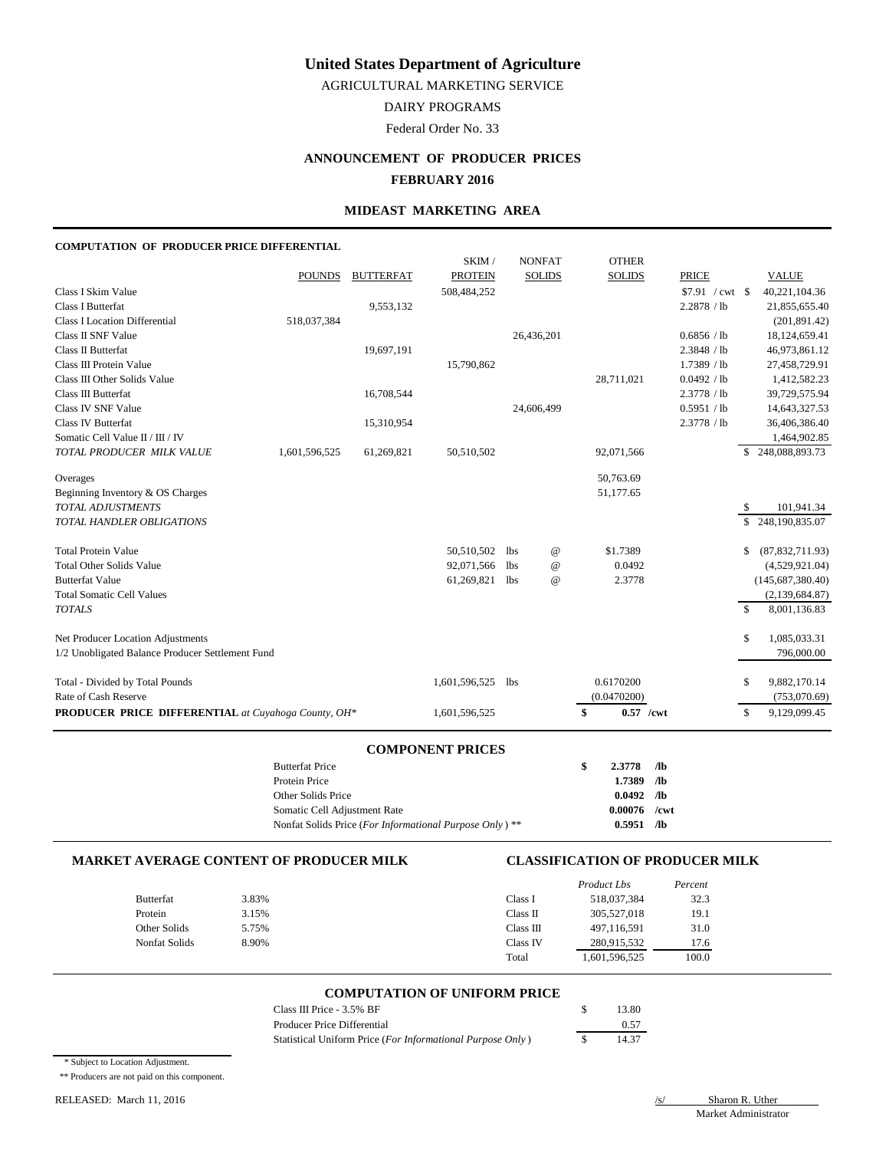AGRICULTURAL MARKETING SERVICE

DAIRY PROGRAMS

Federal Order No. 33

## **ANNOUNCEMENT OF PRODUCER PRICES FEBRUARY 2016**

#### **MIDEAST MARKETING AREA**

#### **COMPUTATION OF PRODUCER PRICE DIFFERENTIAL**

|                                                            |               |                  | SKIM/          |            | <b>NONFAT</b>   | <b>OTHER</b>      |              |              |                    |
|------------------------------------------------------------|---------------|------------------|----------------|------------|-----------------|-------------------|--------------|--------------|--------------------|
|                                                            | <b>POUNDS</b> | <b>BUTTERFAT</b> | <b>PROTEIN</b> |            | <b>SOLIDS</b>   | <b>SOLIDS</b>     | <b>PRICE</b> |              | <b>VALUE</b>       |
| Class I Skim Value                                         |               |                  | 508,484,252    |            |                 |                   |              |              | 40,221,104.36      |
| Class I Butterfat                                          |               | 9,553,132        |                |            |                 |                   | 2.2878 / lb  |              | 21,855,655.40      |
| <b>Class I Location Differential</b>                       | 518,037,384   |                  |                |            |                 |                   |              |              | (201, 891.42)      |
| <b>Class II SNF Value</b>                                  |               |                  |                |            | 26,436,201      |                   | 0.6856 / lb  |              | 18,124,659.41      |
| Class II Butterfat                                         |               | 19,697,191       |                |            |                 |                   | 2.3848 / lb  |              | 46,973,861.12      |
| Class III Protein Value                                    |               |                  | 15,790,862     |            |                 |                   | 1.7389 / lb  |              | 27,458,729.91      |
| Class III Other Solids Value                               |               |                  |                |            |                 | 28,711,021        | 0.0492 / lb  |              | 1,412,582.23       |
| Class III Butterfat                                        |               | 16,708,544       |                |            |                 |                   | 2.3778 / lb  |              | 39,729,575.94      |
| Class IV SNF Value                                         |               |                  |                |            | 24,606,499      |                   | 0.5951 / lb  |              | 14,643,327.53      |
| <b>Class IV Butterfat</b>                                  |               | 15,310,954       |                |            |                 |                   | 2.3778 / lb  |              | 36,406,386.40      |
| Somatic Cell Value II / III / IV                           |               |                  |                |            |                 |                   |              |              | 1,464,902.85       |
| TOTAL PRODUCER MILK VALUE                                  | 1,601,596,525 | 61,269,821       | 50,510,502     |            |                 | 92,071,566        |              | S.           | 248,088,893.73     |
| Overages                                                   |               |                  |                |            |                 | 50,763.69         |              |              |                    |
| Beginning Inventory & OS Charges                           |               |                  |                |            |                 | 51,177.65         |              |              |                    |
| <b>TOTAL ADJUSTMENTS</b>                                   |               |                  |                |            |                 |                   |              |              | 101,941.34         |
| <b>TOTAL HANDLER OBLIGATIONS</b>                           |               |                  |                |            |                 |                   |              |              | \$248,190,835.07   |
| <b>Total Protein Value</b>                                 |               |                  | 50,510,502     | <b>lbs</b> | $^{\copyright}$ | \$1.7389          |              | \$           | (87, 832, 711.93)  |
| <b>Total Other Solids Value</b>                            |               |                  | 92,071,566     | <b>lbs</b> | $^{\copyright}$ | 0.0492            |              |              | (4,529,921.04)     |
| <b>Butterfat Value</b>                                     |               |                  | 61,269,821     | <b>lbs</b> | $^{\copyright}$ | 2.3778            |              |              | (145, 687, 380.40) |
| <b>Total Somatic Cell Values</b>                           |               |                  |                |            |                 |                   |              |              | (2,139,684.87)     |
| <b>TOTALS</b>                                              |               |                  |                |            |                 |                   |              | $\mathbb{S}$ | 8,001,136.83       |
| Net Producer Location Adjustments                          |               |                  |                |            |                 |                   |              | \$           | 1,085,033.31       |
| 1/2 Unobligated Balance Producer Settlement Fund           |               |                  |                |            |                 |                   |              |              | 796,000.00         |
| Total - Divided by Total Pounds                            |               |                  | 1,601,596,525  | <b>lbs</b> |                 | 0.6170200         |              | \$           | 9,882,170.14       |
| Rate of Cash Reserve                                       |               |                  |                |            |                 | (0.0470200)       |              |              | (753,070.69)       |
| <b>PRODUCER PRICE DIFFERENTIAL</b> at Cuyahoga County, OH* |               |                  | 1,601,596,525  |            |                 | \$<br>$0.57$ /cwt |              | $\mathbb{S}$ | 9,129,099.45       |

#### **COMPONENT PRICES**

| <b>Butterfat Price</b>                                             | \$<br>2.3778   | /lb |
|--------------------------------------------------------------------|----------------|-----|
| Protein Price                                                      | 1.7389         | /lb |
| Other Solids Price                                                 | $0.0492$ /lb   |     |
| Somatic Cell Adjustment Rate                                       | $0.00076$ /cwt |     |
| Nonfat Solids Price (For Informational Purpose Only) <sup>**</sup> | 0.5951         | /lb |

#### **MARKET AVERAGE CONTENT OF PRODUCER MILK CLASSIFICATION OF PRODUCER MILK**

|                  |       |           | Product Lbs   | Percent |
|------------------|-------|-----------|---------------|---------|
| <b>Butterfat</b> | 3.83% | Class I   | 518,037,384   | 32.3    |
| Protein          | 3.15% | Class II  | 305,527,018   | 19.1    |
| Other Solids     | 5.75% | Class III | 497,116,591   | 31.0    |
| Nonfat Solids    | 8.90% | Class IV  | 280,915,532   | 17.6    |
|                  |       | Total     | 1,601,596,525 | 100.0   |

### **COMPUTATION OF UNIFORM PRICE**

| Class III Price - 3.5% BF                                  | 13.80 |
|------------------------------------------------------------|-------|
| Producer Price Differential                                | 0.57  |
| Statistical Uniform Price (For Informational Purpose Only) | 14.37 |

\* Subject to Location Adjustment.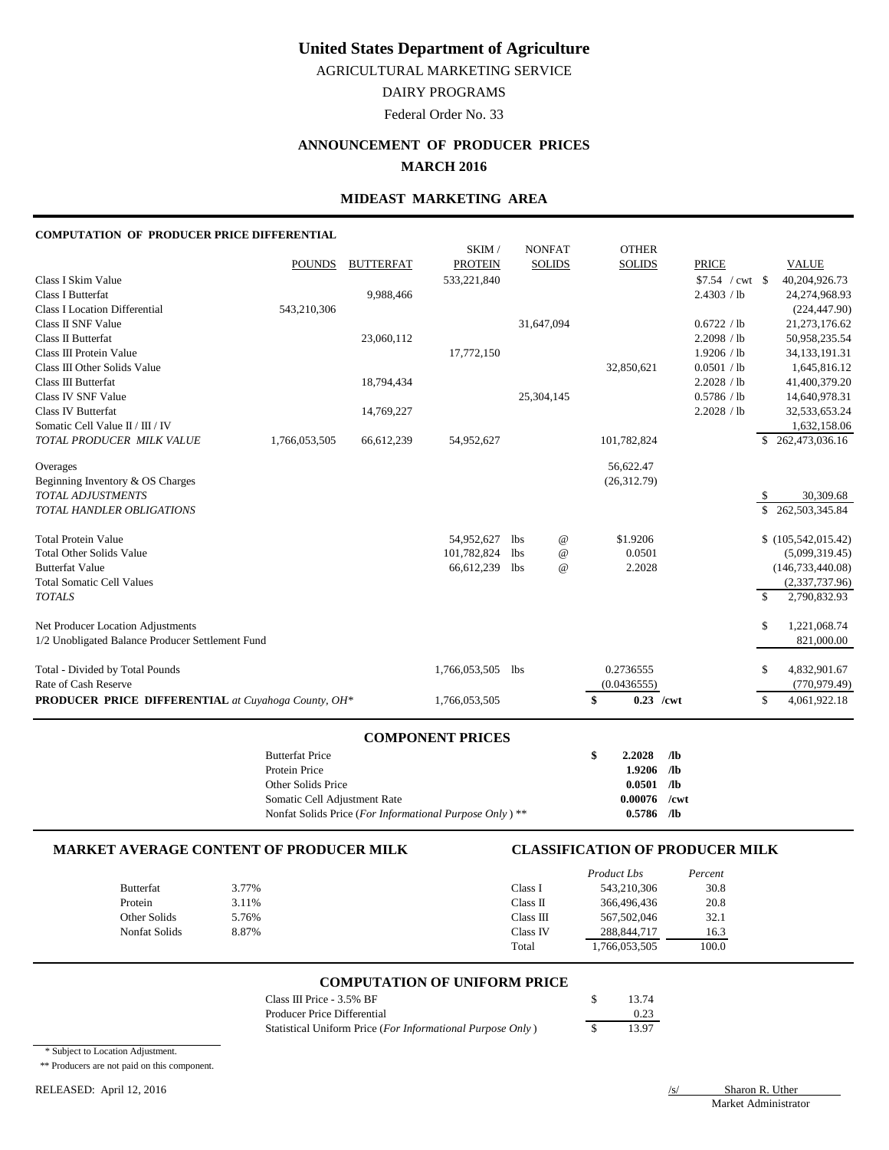AGRICULTURAL MARKETING SERVICE

DAIRY PROGRAMS

Federal Order No. 33

## **ANNOUNCEMENT OF PRODUCER PRICES MARCH 2016**

### **MIDEAST MARKETING AREA**

#### **COMPUTATION OF PRODUCER PRICE DIFFERENTIAL**

|                                                                                                              | <b>Butterfat Price</b><br>Protein Price<br>Other Solids Price<br>Somatic Cell Adjustment Rate |                          | Nonfat Solids Price (For Informational Purpose Only) ** |             |                                | \$<br>2.2028<br>1.9206<br>0.0501<br>0.00076<br>$0.5786$ /lb | $/$ lb<br>/1 <sub>b</sub><br>/1 <sub>b</sub><br>/cwt |                                           |               |                                                                  |
|--------------------------------------------------------------------------------------------------------------|-----------------------------------------------------------------------------------------------|--------------------------|---------------------------------------------------------|-------------|--------------------------------|-------------------------------------------------------------|------------------------------------------------------|-------------------------------------------|---------------|------------------------------------------------------------------|
|                                                                                                              |                                                                                               |                          | <b>COMPONENT PRICES</b>                                 |             |                                |                                                             |                                                      |                                           |               |                                                                  |
| PRODUCER PRICE DIFFERENTIAL at Cuyahoga County, OH*                                                          |                                                                                               |                          | 1,766,053,505                                           |             |                                | \$<br>$0.23$ /cwt                                           |                                                      |                                           | $\mathbb{S}$  | 4,061,922.18                                                     |
| Total - Divided by Total Pounds<br>Rate of Cash Reserve                                                      |                                                                                               |                          | 1,766,053,505 lbs                                       |             |                                | 0.2736555<br>(0.0436555)                                    |                                                      |                                           | \$            | 4,832,901.67<br>(770, 979.49)                                    |
| Net Producer Location Adjustments<br>1/2 Unobligated Balance Producer Settlement Fund                        |                                                                                               |                          |                                                         |             |                                |                                                             |                                                      |                                           | \$            | 1,221,068.74<br>821,000.00                                       |
| <b>Butterfat Value</b><br><b>Total Somatic Cell Values</b><br><b>TOTALS</b>                                  |                                                                                               |                          | 66,612,239                                              | lbs         | $\omega$                       | 2.2028                                                      |                                                      |                                           | $\mathcal{S}$ | (146, 733, 440.08)<br>(2,337,737.96)<br>2,790,832.93             |
| <b>Total Protein Value</b><br><b>Total Other Solids Value</b>                                                |                                                                                               |                          | 54,952,627<br>101,782,824                               | lbs.<br>lbs | $^{\copyright}$<br>$\omega$    | \$1.9206<br>0.0501                                          |                                                      |                                           |               | \$(105,542,015.42)<br>(5,099,319.45)                             |
| Beginning Inventory & OS Charges<br>TOTAL ADJUSTMENTS<br>TOTAL HANDLER OBLIGATIONS                           |                                                                                               |                          |                                                         |             |                                | (26,312.79)                                                 |                                                      |                                           | S,<br>\$.     | 30,309.68<br>262,503,345.84                                      |
| Overages                                                                                                     |                                                                                               |                          |                                                         |             |                                | 56,622.47                                                   |                                                      |                                           |               |                                                                  |
| Somatic Cell Value II / III / IV<br>TOTAL PRODUCER MILK VALUE                                                | 1,766,053,505                                                                                 | 66,612,239               | 54,952,627                                              |             |                                | 101,782,824                                                 |                                                      |                                           | <sup>\$</sup> | 1,632,158.06<br>262,473,036.16                                   |
| Class III Butterfat<br>Class IV SNF Value<br>Class IV Butterfat                                              |                                                                                               | 18,794,434<br>14,769,227 |                                                         |             | 25,304,145                     |                                                             |                                                      | 2.2028 / lb<br>0.5786 / lb<br>2.2028 / lb |               | 41,400,379.20<br>14,640,978.31<br>32,533,653.24                  |
| Class III Protein Value<br>Class III Other Solids Value                                                      |                                                                                               |                          | 17,772,150                                              |             |                                | 32,850,621                                                  |                                                      | 1.9206 / lb<br>0.0501 / lb                |               | 34,133,191.31<br>1,645,816.12                                    |
| <b>Class I Butterfat</b><br><b>Class I Location Differential</b><br>Class II SNF Value<br>Class II Butterfat | 543,210,306                                                                                   | 9,988,466<br>23,060,112  |                                                         |             | 31,647,094                     |                                                             |                                                      | 2.4303 / lb<br>0.6722 / lb<br>2.2098 / lb |               | 24,274,968.93<br>(224, 447.90)<br>21,273,176.62<br>50,958,235.54 |
| Class I Skim Value                                                                                           | <b>POUNDS</b>                                                                                 | <b>BUTTERFAT</b>         | SKIM/<br><b>PROTEIN</b><br>533,221,840                  |             | <b>NONFAT</b><br><b>SOLIDS</b> | <b>OTHER</b><br><b>SOLIDS</b>                               |                                                      | <b>PRICE</b>                              |               | <b>VALUE</b><br>40,204,926.73                                    |

## **MARKET AVERAGE CONTENT OF PRODUCER MILK CLASSIFICATION OF PRODUCER MILK**

|                  |       |           | Product Lbs   | Percent |
|------------------|-------|-----------|---------------|---------|
| <b>Butterfat</b> | 3.77% | Class I   | 543,210,306   | 30.8    |
| Protein          | 3.11% | Class II  | 366,496,436   | 20.8    |
| Other Solids     | 5.76% | Class III | 567,502,046   | 32.1    |
| Nonfat Solids    | 8.87% | Class IV  | 288, 844, 717 | 16.3    |
|                  |       | Total     | 1,766,053,505 | 100.0   |

## **COMPUTATION OF UNIFORM PRICE**

| Class III Price $-3.5\%$ BF                                | 13.74 |
|------------------------------------------------------------|-------|
| Producer Price Differential                                | 0.23  |
| Statistical Uniform Price (For Informational Purpose Only) | 13.97 |

\* Subject to Location Adjustment.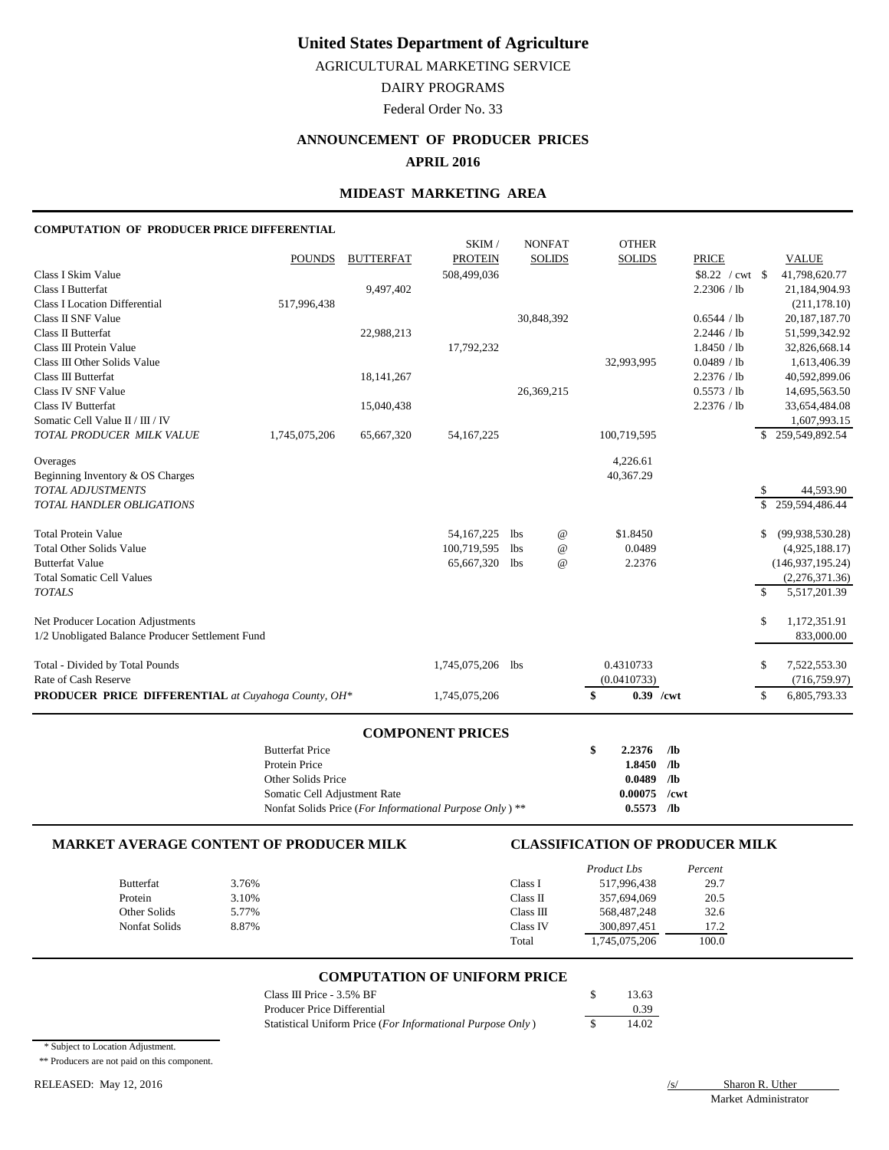AGRICULTURAL MARKETING SERVICE

DAIRY PROGRAMS

Federal Order No. 33

# **ANNOUNCEMENT OF PRODUCER PRICES**

## **APRIL 2016**

## **MIDEAST MARKETING AREA**

#### **COMPUTATION OF PRODUCER PRICE DIFFERENTIAL**

|                                                            |               |                  | SKIM/          |     | <b>NONFAT</b>   | <b>OTHER</b>      |                 |              |                    |
|------------------------------------------------------------|---------------|------------------|----------------|-----|-----------------|-------------------|-----------------|--------------|--------------------|
|                                                            | <b>POUNDS</b> | <b>BUTTERFAT</b> | <b>PROTEIN</b> |     | <b>SOLIDS</b>   | <b>SOLIDS</b>     | <b>PRICE</b>    |              | <b>VALUE</b>       |
| Class I Skim Value                                         |               |                  | 508,499,036    |     |                 |                   | \$8.22 / cwt \$ |              | 41,798,620.77      |
| <b>Class I Butterfat</b>                                   |               | 9,497,402        |                |     |                 |                   | 2.2306 / lb     |              | 21,184,904.93      |
| <b>Class I Location Differential</b>                       | 517,996,438   |                  |                |     |                 |                   |                 |              | (211, 178.10)      |
| Class II SNF Value                                         |               |                  |                |     | 30,848,392      |                   | 0.6544 / lb     |              | 20, 187, 187. 70   |
| Class II Butterfat                                         |               | 22,988,213       |                |     |                 |                   | 2.2446 / lb     |              | 51,599,342.92      |
| Class III Protein Value                                    |               |                  | 17,792,232     |     |                 |                   | 1.8450 / lb     |              | 32,826,668.14      |
| Class III Other Solids Value                               |               |                  |                |     |                 | 32,993,995        | 0.0489 / lb     |              | 1,613,406.39       |
| Class III Butterfat                                        |               | 18, 141, 267     |                |     |                 |                   | 2.2376 / lb     |              | 40,592,899.06      |
| Class IV SNF Value                                         |               |                  |                |     | 26,369,215      |                   | 0.5573 / lb     |              | 14,695,563.50      |
| <b>Class IV Butterfat</b>                                  |               | 15,040,438       |                |     |                 |                   | 2.2376 / lb     |              | 33,654,484.08      |
| Somatic Cell Value II / III / IV                           |               |                  |                |     |                 |                   |                 |              | 1,607,993.15       |
| TOTAL PRODUCER MILK VALUE                                  | 1,745,075,206 | 65,667,320       | 54,167,225     |     |                 | 100,719,595       |                 |              | \$259,549,892.54   |
| Overages                                                   |               |                  |                |     |                 | 4,226.61          |                 |              |                    |
| Beginning Inventory & OS Charges                           |               |                  |                |     |                 | 40,367.29         |                 |              |                    |
| <b>TOTAL ADJUSTMENTS</b>                                   |               |                  |                |     |                 |                   |                 | \$           | 44,593.90          |
| <b>TOTAL HANDLER OBLIGATIONS</b>                           |               |                  |                |     |                 |                   |                 | $\mathbb{S}$ | 259,594,486.44     |
| <b>Total Protein Value</b>                                 |               |                  | 54,167,225     | lbs | $^{\copyright}$ | \$1.8450          |                 | \$           | (99, 938, 530.28)  |
| <b>Total Other Solids Value</b>                            |               |                  | 100,719,595    | lbs | $^{\copyright}$ | 0.0489            |                 |              | (4,925,188.17)     |
| <b>Butterfat Value</b>                                     |               |                  | 65,667,320     | lbs | $^{\copyright}$ | 2.2376            |                 |              | (146, 937, 195.24) |
| <b>Total Somatic Cell Values</b>                           |               |                  |                |     |                 |                   |                 |              | (2,276,371.36)     |
| <b>TOTALS</b>                                              |               |                  |                |     |                 |                   |                 | \$           | 5,517,201.39       |
| Net Producer Location Adjustments                          |               |                  |                |     |                 |                   |                 | \$           | 1,172,351.91       |
| 1/2 Unobligated Balance Producer Settlement Fund           |               |                  |                |     |                 |                   |                 |              | 833,000.00         |
| Total - Divided by Total Pounds                            |               |                  | 1,745,075,206  | lbs |                 | 0.4310733         |                 | \$           | 7,522,553.30       |
| Rate of Cash Reserve                                       |               |                  |                |     |                 | (0.0410733)       |                 |              | (716, 759.97)      |
| <b>PRODUCER PRICE DIFFERENTIAL</b> at Cuyahoga County, OH* |               |                  | 1,745,075,206  |     |                 | \$<br>$0.39$ /cwt |                 | \$           | 6,805,793.33       |

#### **COMPONENT PRICES**

| <b>Butterfat Price</b>                                    | 2.2376  | /lb  |
|-----------------------------------------------------------|---------|------|
| Protein Price                                             | 1.8450  | /1Ь  |
| Other Solids Price                                        | 0.0489  | /lb  |
| Somatic Cell Adjustment Rate                              | 0.00075 | /cwt |
| Nonfat Solids Price (For Informational Purpose Only) $**$ | 0.5573  | /lb  |

### **MARKET AVERAGE CONTENT OF PRODUCER MILK CLASSIFICATION OF PRODUCER MILK**

|                  |       |           | Product Lbs   | Percent |
|------------------|-------|-----------|---------------|---------|
| <b>Butterfat</b> | 3.76% | Class I   | 517,996,438   | 29.7    |
| Protein          | 3.10% | Class II  | 357.694.069   | 20.5    |
| Other Solids     | 5.77% | Class III | 568,487,248   | 32.6    |
| Nonfat Solids    | 8.87% | Class IV  | 300,897,451   | 17.2    |
|                  |       | Total     | 1,745,075,206 | 100.0   |

#### **COMPUTATION OF UNIFORM PRICE**

| Class III Price - $3.5\%$ BF                               | 13.63 |
|------------------------------------------------------------|-------|
| Producer Price Differential                                | 0.39  |
| Statistical Uniform Price (For Informational Purpose Only) | 14.02 |

\* Subject to Location Adjustment.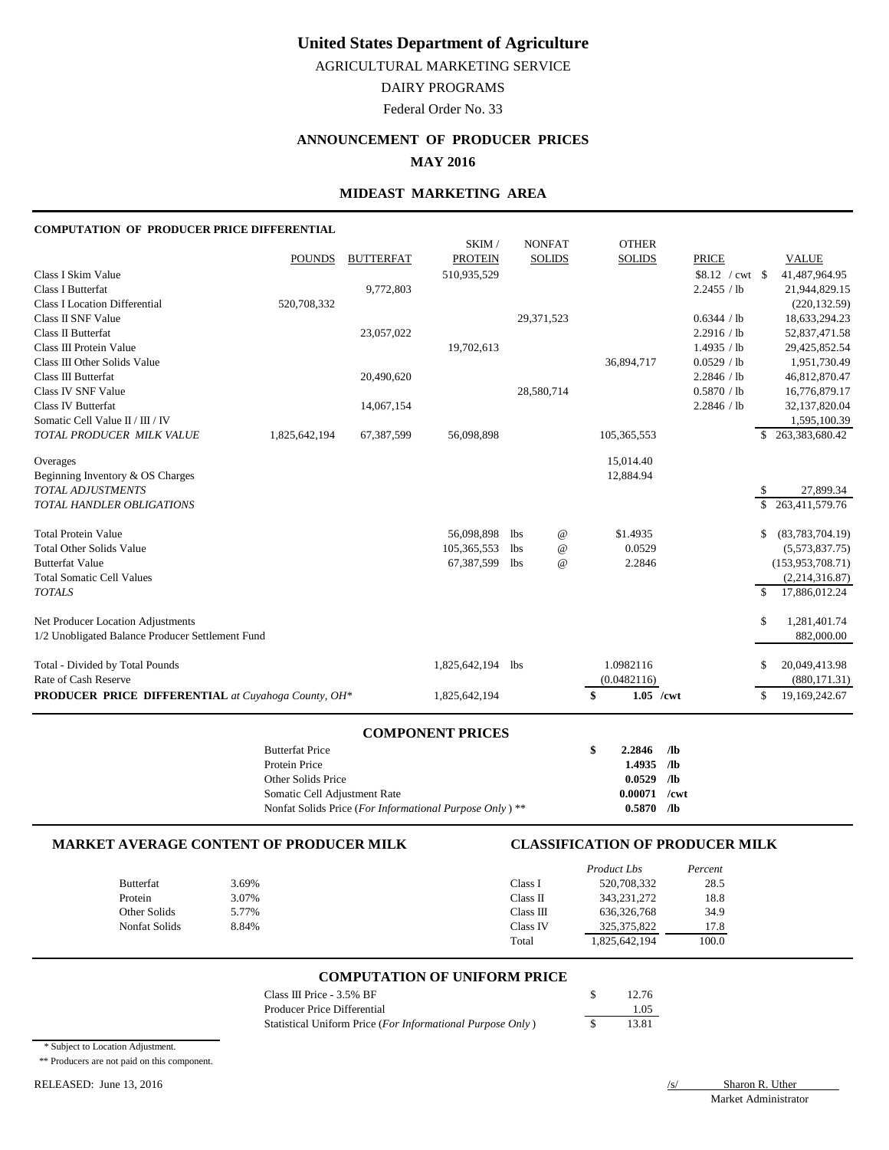AGRICULTURAL MARKETING SERVICE

DAIRY PROGRAMS

Federal Order No. 33

## **ANNOUNCEMENT OF PRODUCER PRICES**

### **MAY 2016**

## **MIDEAST MARKETING AREA**

#### **COMPUTATION OF PRODUCER PRICE DIFFERENTIAL**

|                                                            |               |                  | SKIM/             | <b>NONFAT</b>                 | <b>OTHER</b>      |              |                               |
|------------------------------------------------------------|---------------|------------------|-------------------|-------------------------------|-------------------|--------------|-------------------------------|
|                                                            | <b>POUNDS</b> | <b>BUTTERFAT</b> | <b>PROTEIN</b>    | <b>SOLIDS</b>                 | <b>SOLIDS</b>     | <b>PRICE</b> | <b>VALUE</b>                  |
| Class I Skim Value                                         |               |                  | 510,935,529       |                               |                   |              | 41,487,964.95                 |
| <b>Class I Butterfat</b>                                   |               | 9,772,803        |                   |                               |                   | 2.2455 / lb  | 21,944,829.15                 |
| <b>Class I Location Differential</b>                       | 520,708,332   |                  |                   |                               |                   |              | (220, 132.59)                 |
| Class II SNF Value                                         |               |                  |                   | 29,371,523                    |                   | 0.6344 / lb  | 18,633,294.23                 |
| Class II Butterfat                                         |               | 23,057,022       |                   |                               |                   | 2.2916 / lb  | 52,837,471.58                 |
| Class III Protein Value                                    |               |                  | 19,702,613        |                               |                   | 1.4935 / lb  | 29,425,852.54                 |
| Class III Other Solids Value                               |               |                  |                   |                               | 36,894,717        | 0.0529 / lb  | 1,951,730.49                  |
| Class III Butterfat                                        |               | 20,490,620       |                   |                               |                   | 2.2846 / lb  | 46,812,870.47                 |
| Class IV SNF Value                                         |               |                  |                   | 28,580,714                    |                   | 0.5870 / lb  | 16,776,879.17                 |
| <b>Class IV Butterfat</b>                                  |               | 14,067,154       |                   |                               |                   | 2.2846 / lb  | 32,137,820.04                 |
| Somatic Cell Value II / III / IV                           |               |                  |                   |                               |                   |              | 1,595,100.39                  |
| TOTAL PRODUCER MILK VALUE                                  | 1,825,642,194 | 67,387,599       | 56,098,898        |                               | 105,365,553       |              | \$263,383,680.42              |
| Overages                                                   |               |                  |                   |                               | 15,014.40         |              |                               |
| Beginning Inventory & OS Charges                           |               |                  |                   |                               | 12,884.94         |              |                               |
| TOTAL ADJUSTMENTS                                          |               |                  |                   |                               |                   |              | 27,899.34<br>S                |
| <b>TOTAL HANDLER OBLIGATIONS</b>                           |               |                  |                   |                               |                   |              | 263,411,579.76<br>S.          |
| <b>Total Protein Value</b>                                 |               |                  | 56,098,898        | $^{\copyright}$<br>lbs        | \$1.4935          |              | (83,783,704.19)<br>S          |
| <b>Total Other Solids Value</b>                            |               |                  | 105,365,553       | <b>lbs</b><br>$^{\copyright}$ | 0.0529            |              | (5,573,837.75)                |
| <b>Butterfat Value</b>                                     |               |                  | 67,387,599        | <b>lbs</b><br>$^{\copyright}$ | 2.2846            |              | (153, 953, 708.71)            |
| <b>Total Somatic Cell Values</b>                           |               |                  |                   |                               |                   |              | (2,214,316.87)                |
| <b>TOTALS</b>                                              |               |                  |                   |                               |                   |              | $\mathbb{S}$<br>17,886,012.24 |
| Net Producer Location Adjustments                          |               |                  |                   |                               |                   |              | S<br>1,281,401.74             |
| 1/2 Unobligated Balance Producer Settlement Fund           |               |                  |                   |                               |                   |              | 882,000.00                    |
| Total - Divided by Total Pounds                            |               |                  | 1,825,642,194 lbs |                               | 1.0982116         |              | 20,049,413.98<br>S            |
| Rate of Cash Reserve                                       |               |                  |                   |                               | (0.0482116)       |              | (880, 171.31)                 |
| <b>PRODUCER PRICE DIFFERENTIAL</b> at Cuyahoga County, OH* |               |                  | 1,825,642,194     |                               | $1.05$ /cwt<br>\$ |              | S<br>19,169,242.67            |

#### **COMPONENT PRICES**

| <b>Butterfat Price</b>                                  | 2.2846         | /lb             |
|---------------------------------------------------------|----------------|-----------------|
| Protein Price                                           | 1.4935         | /lb             |
| Other Solids Price                                      | 0.0529         | /lb             |
| Somatic Cell Adjustment Rate                            | $0.00071$ /cwt |                 |
| Nonfat Solids Price (For Informational Purpose Only) ** | 0.5870         | /1 <sub>b</sub> |

### **MARKET AVERAGE CONTENT OF PRODUCER MILK CLASSIFICATION OF PRODUCER MILK**

|                  |       |           | Product Lbs   | Percent |
|------------------|-------|-----------|---------------|---------|
| <b>Butterfat</b> | 3.69% | Class I   | 520,708,332   | 28.5    |
| Protein          | 3.07% | Class II  | 343, 231, 272 | 18.8    |
| Other Solids     | 5.77% | Class III | 636, 326, 768 | 34.9    |
| Nonfat Solids    | 8.84% | Class IV  | 325, 375, 822 | 17.8    |
|                  |       | Total     | 1,825,642,194 | 100.0   |

#### **COMPUTATION OF UNIFORM PRICE**

| Class III Price $-3.5\%$ BF                                | 12.76 |
|------------------------------------------------------------|-------|
| Producer Price Differential                                | 1.05  |
| Statistical Uniform Price (For Informational Purpose Only) | 13.81 |

\* Subject to Location Adjustment.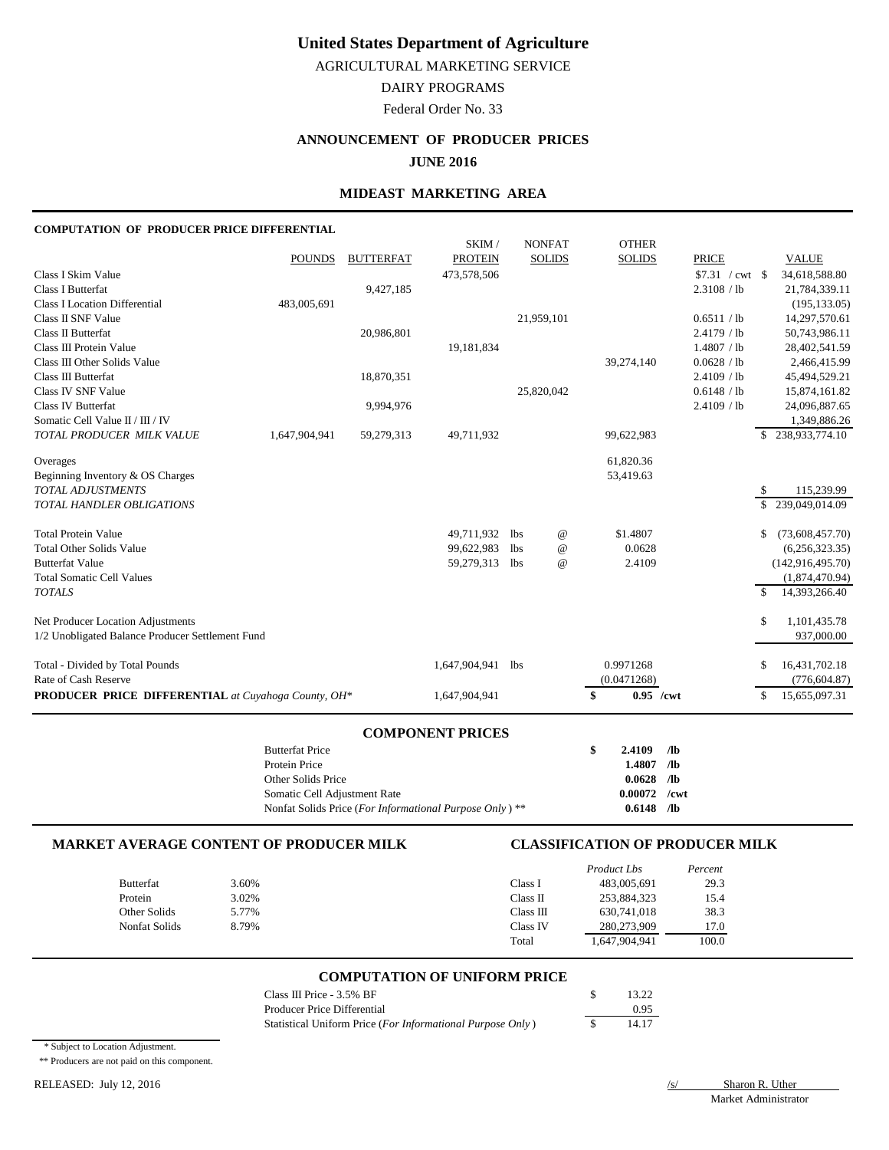AGRICULTURAL MARKETING SERVICE

DAIRY PROGRAMS

Federal Order No. 33

## **ANNOUNCEMENT OF PRODUCER PRICES**

### **JUNE 2016**

## **MIDEAST MARKETING AREA**

#### **COMPUTATION OF PRODUCER PRICE DIFFERENTIAL**

|                                                            |               |                  | SKIM/          |            | <b>NONFAT</b>   | <b>OTHER</b>      |              |    |                    |
|------------------------------------------------------------|---------------|------------------|----------------|------------|-----------------|-------------------|--------------|----|--------------------|
|                                                            | <b>POUNDS</b> | <b>BUTTERFAT</b> | <b>PROTEIN</b> |            | <b>SOLIDS</b>   | <b>SOLIDS</b>     | <b>PRICE</b> |    | <b>VALUE</b>       |
| Class I Skim Value                                         |               |                  | 473,578,506    |            |                 |                   |              |    | 34,618,588.80      |
| <b>Class I Butterfat</b>                                   |               | 9,427,185        |                |            |                 |                   | 2.3108 / lb  |    | 21,784,339.11      |
| <b>Class I Location Differential</b>                       | 483,005,691   |                  |                |            |                 |                   |              |    | (195, 133.05)      |
| Class II SNF Value                                         |               |                  |                | 21,959,101 |                 |                   | 0.6511 / lb  |    | 14,297,570.61      |
| Class II Butterfat                                         |               | 20,986,801       |                |            |                 |                   | 2.4179 / lb  |    | 50,743,986.11      |
| Class III Protein Value                                    |               |                  | 19,181,834     |            |                 |                   | 1.4807 / lb  |    | 28,402,541.59      |
| Class III Other Solids Value                               |               |                  |                |            |                 | 39,274,140        | 0.0628 / lb  |    | 2,466,415.99       |
| Class III Butterfat                                        |               | 18,870,351       |                |            |                 |                   | 2.4109 / lb  |    | 45,494,529.21      |
| Class IV SNF Value                                         |               |                  |                | 25,820,042 |                 |                   | 0.6148 / lb  |    | 15,874,161.82      |
| <b>Class IV Butterfat</b>                                  |               | 9,994,976        |                |            |                 |                   | 2.4109 / lb  |    | 24,096,887.65      |
| Somatic Cell Value II / III / IV                           |               |                  |                |            |                 |                   |              |    | 1,349,886.26       |
| TOTAL PRODUCER MILK VALUE                                  | 1,647,904,941 | 59,279,313       | 49,711,932     |            |                 | 99,622,983        |              |    | \$238,933,774.10   |
| Overages                                                   |               |                  |                |            |                 | 61,820.36         |              |    |                    |
| Beginning Inventory & OS Charges                           |               |                  |                |            |                 | 53,419.63         |              |    |                    |
| <b>TOTAL ADJUSTMENTS</b>                                   |               |                  |                |            |                 |                   |              | S  | 115,239.99         |
| <b>TOTAL HANDLER OBLIGATIONS</b>                           |               |                  |                |            |                 |                   |              | S. | 239,049,014.09     |
| <b>Total Protein Value</b>                                 |               |                  | 49,711,932     | lbs        | $^{\copyright}$ | \$1.4807          |              | S  | (73,608,457.70)    |
| <b>Total Other Solids Value</b>                            |               |                  | 99,622,983     | lbs        | $^{\copyright}$ | 0.0628            |              |    | (6,256,323.35)     |
| <b>Butterfat Value</b>                                     |               |                  | 59,279,313     | lbs        | $^{\copyright}$ | 2.4109            |              |    | (142, 916, 495.70) |
| <b>Total Somatic Cell Values</b>                           |               |                  |                |            |                 |                   |              |    | (1,874,470.94)     |
| <b>TOTALS</b>                                              |               |                  |                |            |                 |                   |              | \$ | 14,393,266.40      |
| Net Producer Location Adjustments                          |               |                  |                |            |                 |                   |              | \$ | 1,101,435.78       |
| 1/2 Unobligated Balance Producer Settlement Fund           |               |                  |                |            |                 |                   |              |    | 937,000.00         |
| Total - Divided by Total Pounds                            |               |                  | 1,647,904,941  | lbs        |                 | 0.9971268         |              | S  | 16,431,702.18      |
| Rate of Cash Reserve                                       |               |                  |                |            |                 | (0.0471268)       |              |    | (776, 604.87)      |
| <b>PRODUCER PRICE DIFFERENTIAL</b> at Cuyahoga County, OH* |               |                  | 1,647,904,941  |            |                 | $0.95$ /cwt<br>\$ |              | S  | 15,655,097.31      |

#### **COMPONENT PRICES**

| <b>Butterfat Price</b>                                  | 2.4109         | /lb             |
|---------------------------------------------------------|----------------|-----------------|
| Protein Price                                           | 1.4807         | /lb             |
| Other Solids Price                                      | 0.0628         | /lb             |
| Somatic Cell Adjustment Rate                            | $0.00072$ /cwt |                 |
| Nonfat Solids Price (For Informational Purpose Only) ** | 0.6148         | /1 <sub>b</sub> |

#### **MARKET AVERAGE CONTENT OF PRODUCER MILK CLASSIFICATION OF PRODUCER MILK**

|                      |       |           | Product Lbs   | Percent |
|----------------------|-------|-----------|---------------|---------|
| <b>Butterfat</b>     | 3.60% | Class I   | 483,005,691   | 29.3    |
| Protein              | 3.02% | Class II  | 253,884,323   | 15.4    |
| Other Solids         | 5.77% | Class III | 630.741.018   | 38.3    |
| <b>Nonfat Solids</b> | 8.79% | Class IV  | 280,273,909   | 17.0    |
|                      |       | Total     | 1,647,904,941 | 100.0   |

#### **COMPUTATION OF UNIFORM PRICE**

| Class III Price - $3.5\%$ BF                               | 13.22 |
|------------------------------------------------------------|-------|
| Producer Price Differential                                | 0.95  |
| Statistical Uniform Price (For Informational Purpose Only) | 14.17 |

\* Subject to Location Adjustment.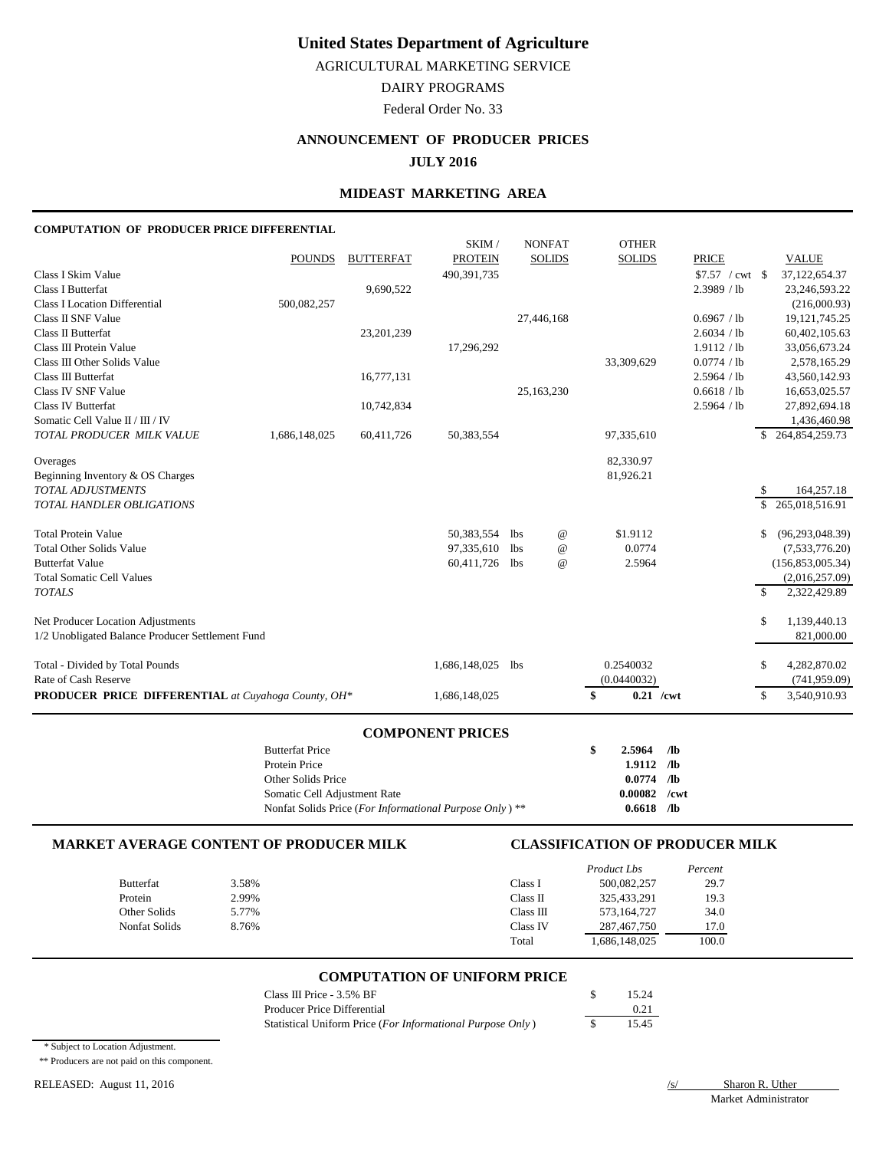AGRICULTURAL MARKETING SERVICE

DAIRY PROGRAMS

Federal Order No. 33

## **ANNOUNCEMENT OF PRODUCER PRICES**

### **JULY 2016**

## **MIDEAST MARKETING AREA**

#### **COMPUTATION OF PRODUCER PRICE DIFFERENTIAL**

|                                                            |               |                  | SKIM/          |     | <b>NONFAT</b>   | <b>OTHER</b>      |              |    |                    |
|------------------------------------------------------------|---------------|------------------|----------------|-----|-----------------|-------------------|--------------|----|--------------------|
|                                                            | <b>POUNDS</b> | <b>BUTTERFAT</b> | <b>PROTEIN</b> |     | <b>SOLIDS</b>   | <b>SOLIDS</b>     | <b>PRICE</b> |    | <b>VALUE</b>       |
| Class I Skim Value                                         |               |                  | 490,391,735    |     |                 |                   |              |    | 37,122,654.37      |
| <b>Class I Butterfat</b>                                   |               | 9,690,522        |                |     |                 |                   | 2.3989 / lb  |    | 23,246,593.22      |
| <b>Class I Location Differential</b>                       | 500,082,257   |                  |                |     |                 |                   |              |    | (216,000.93)       |
| Class II SNF Value                                         |               |                  |                |     | 27,446,168      |                   | 0.6967 / lb  |    | 19, 121, 745. 25   |
| Class II Butterfat                                         |               | 23, 201, 239     |                |     |                 |                   | 2.6034 / lb  |    | 60,402,105.63      |
| Class III Protein Value                                    |               |                  | 17,296,292     |     |                 |                   | 1.9112 / lb  |    | 33,056,673.24      |
| Class III Other Solids Value                               |               |                  |                |     |                 | 33,309,629        | 0.0774 / lb  |    | 2,578,165.29       |
| Class III Butterfat                                        |               | 16,777,131       |                |     |                 |                   | 2.5964 / lb  |    | 43,560,142.93      |
| Class IV SNF Value                                         |               |                  |                |     | 25,163,230      |                   | 0.6618 / lb  |    | 16,653,025.57      |
| <b>Class IV Butterfat</b>                                  |               | 10,742,834       |                |     |                 |                   | 2.5964 / lb  |    | 27,892,694.18      |
| Somatic Cell Value $\rm II/III/IV$                         |               |                  |                |     |                 |                   |              |    | 1,436,460.98       |
| TOTAL PRODUCER MILK VALUE                                  | 1,686,148,025 | 60,411,726       | 50,383,554     |     |                 | 97,335,610        |              |    | 264,854,259.73     |
| Overages                                                   |               |                  |                |     |                 | 82,330.97         |              |    |                    |
| Beginning Inventory & OS Charges                           |               |                  |                |     |                 | 81,926.21         |              |    |                    |
| <b>TOTAL ADJUSTMENTS</b>                                   |               |                  |                |     |                 |                   |              | S  | 164,257.18         |
| TOTAL HANDLER OBLIGATIONS                                  |               |                  |                |     |                 |                   |              | \$ | 265,018,516.91     |
| <b>Total Protein Value</b>                                 |               |                  | 50,383,554     | lbs | $^{\copyright}$ | \$1.9112          |              | \$ | (96, 293, 048.39)  |
| <b>Total Other Solids Value</b>                            |               |                  | 97,335,610     | lbs | $^{\copyright}$ | 0.0774            |              |    | (7,533,776.20)     |
| <b>Butterfat Value</b>                                     |               |                  | 60,411,726     | lbs | $\omega$        | 2.5964            |              |    | (156, 853, 005.34) |
| <b>Total Somatic Cell Values</b>                           |               |                  |                |     |                 |                   |              |    | (2,016,257.09)     |
| <b>TOTALS</b>                                              |               |                  |                |     |                 |                   |              | S  | 2,322,429.89       |
| Net Producer Location Adjustments                          |               |                  |                |     |                 |                   |              | S  | 1,139,440.13       |
| 1/2 Unobligated Balance Producer Settlement Fund           |               |                  |                |     |                 |                   |              |    | 821,000.00         |
| Total - Divided by Total Pounds                            |               |                  | 1,686,148,025  | lbs |                 | 0.2540032         |              | \$ | 4,282,870.02       |
| Rate of Cash Reserve                                       |               |                  |                |     |                 | (0.0440032)       |              |    | (741, 959.09)      |
| <b>PRODUCER PRICE DIFFERENTIAL</b> at Cuyahoga County, OH* |               |                  | 1,686,148,025  |     |                 | \$<br>$0.21$ /cwt |              | \$ | 3,540,910.93       |

#### **COMPONENT PRICES**

| <b>Butterfat Price</b>                                    | -SS | $2.5964$ /lb   |            |
|-----------------------------------------------------------|-----|----------------|------------|
| Protein Price                                             |     | $1.9112$ /lb   |            |
| Other Solids Price                                        |     | $0.0774$ /lb   |            |
| Somatic Cell Adjustment Rate                              |     | $0.00082$ /cwt |            |
| Nonfat Solids Price (For Informational Purpose Only) $**$ |     | 0.6618         | $\sqrt{2}$ |

### **MARKET AVERAGE CONTENT OF PRODUCER MILK CLASSIFICATION OF PRODUCER MILK**

|                  |       |           | Product Lbs   | Percent |
|------------------|-------|-----------|---------------|---------|
| <b>Butterfat</b> | 3.58% | Class I   | 500,082,257   | 29.7    |
| Protein          | 2.99% | Class II  | 325,433,291   | 19.3    |
| Other Solids     | 5.77% | Class III | 573,164,727   | 34.0    |
| Nonfat Solids    | 8.76% | Class IV  | 287,467,750   | 17.0    |
|                  |       | Total     | 1,686,148,025 | 100.0   |

#### **COMPUTATION OF UNIFORM PRICE**

| Class III Price - $3.5\%$ BF                               | 15.24 |
|------------------------------------------------------------|-------|
| Producer Price Differential                                | 0.21  |
| Statistical Uniform Price (For Informational Purpose Only) | 15.45 |

\* Subject to Location Adjustment.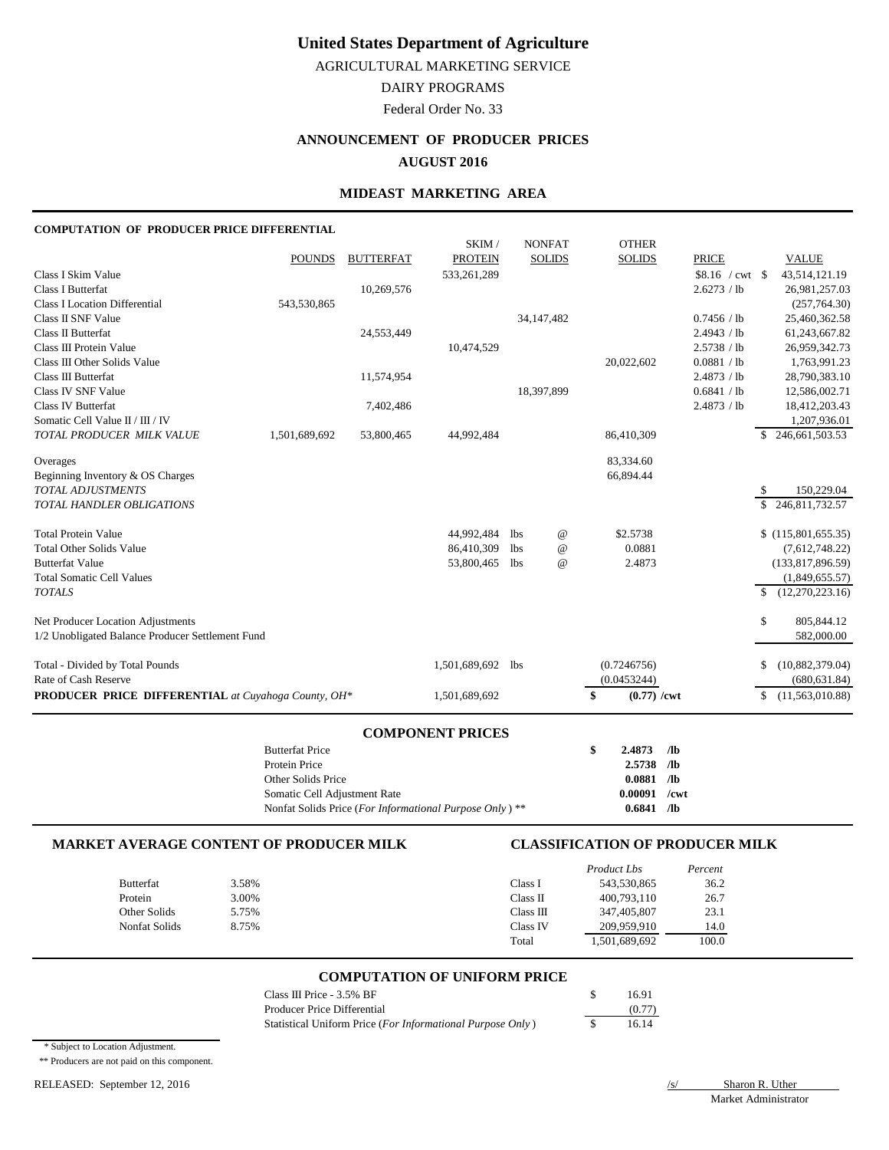AGRICULTURAL MARKETING SERVICE

DAIRY PROGRAMS

Federal Order No. 33

# **ANNOUNCEMENT OF PRODUCER PRICES**

## **AUGUST 2016**

## **MIDEAST MARKETING AREA**

#### **COMPUTATION OF PRODUCER PRICE DIFFERENTIAL**

|                                                            |               |                  | SKIM/             |              | <b>NONFAT</b>   | <b>OTHER</b>        |              |    |                    |
|------------------------------------------------------------|---------------|------------------|-------------------|--------------|-----------------|---------------------|--------------|----|--------------------|
|                                                            | <b>POUNDS</b> | <b>BUTTERFAT</b> | <b>PROTEIN</b>    |              | <b>SOLIDS</b>   | <b>SOLIDS</b>       | <b>PRICE</b> |    | <b>VALUE</b>       |
| Class I Skim Value                                         |               |                  | 533,261,289       |              |                 |                     |              |    | 43,514,121.19      |
| <b>Class I Butterfat</b>                                   |               | 10,269,576       |                   |              |                 |                     | 2.6273 / lb  |    | 26,981,257.03      |
| <b>Class I Location Differential</b>                       | 543,530,865   |                  |                   |              |                 |                     |              |    | (257,764.30)       |
| Class II SNF Value                                         |               |                  |                   | 34, 147, 482 |                 |                     | 0.7456 / lb  |    | 25,460,362.58      |
| <b>Class II Butterfat</b>                                  |               | 24,553,449       |                   |              |                 |                     | 2.4943 / lb  |    | 61,243,667.82      |
| Class III Protein Value                                    |               |                  | 10,474,529        |              |                 |                     | 2.5738 / lb  |    | 26,959,342.73      |
| Class III Other Solids Value                               |               |                  |                   |              |                 | 20,022,602          | 0.0881 / lb  |    | 1,763,991.23       |
| Class III Butterfat                                        |               | 11,574,954       |                   |              |                 |                     | 2.4873 / lb  |    | 28,790,383.10      |
| Class IV SNF Value                                         |               |                  |                   | 18,397,899   |                 |                     | 0.6841 / lb  |    | 12,586,002.71      |
| <b>Class IV Butterfat</b>                                  |               | 7,402,486        |                   |              |                 |                     | 2.4873 / lb  |    | 18,412,203.43      |
| Somatic Cell Value II / III / IV                           |               |                  |                   |              |                 |                     |              |    | 1,207,936.01       |
| TOTAL PRODUCER MILK VALUE                                  | 1,501,689,692 | 53,800,465       | 44,992,484        |              |                 | 86,410,309          |              |    | \$246,661,503.53   |
| Overages                                                   |               |                  |                   |              |                 | 83,334.60           |              |    |                    |
| Beginning Inventory & OS Charges                           |               |                  |                   |              |                 | 66,894.44           |              |    |                    |
| <b>TOTAL ADJUSTMENTS</b>                                   |               |                  |                   |              |                 |                     |              |    | 150,229.04         |
| <b>TOTAL HANDLER OBLIGATIONS</b>                           |               |                  |                   |              |                 |                     |              | \$ | 246,811,732.57     |
| <b>Total Protein Value</b>                                 |               |                  | 44,992,484        | <b>lbs</b>   | $^{\copyright}$ | \$2.5738            |              |    | \$(115,801,655.35) |
| <b>Total Other Solids Value</b>                            |               |                  | 86,410,309        | <b>lbs</b>   | $^{\copyright}$ | 0.0881              |              |    | (7,612,748.22)     |
| <b>Butterfat Value</b>                                     |               |                  | 53,800,465        | lbs          | $^{\copyright}$ | 2.4873              |              |    | (133,817,896.59)   |
| <b>Total Somatic Cell Values</b>                           |               |                  |                   |              |                 |                     |              |    | (1,849,655.57)     |
| <b>TOTALS</b>                                              |               |                  |                   |              |                 |                     |              | S. | (12,270,223.16)    |
| Net Producer Location Adjustments                          |               |                  |                   |              |                 |                     |              | \$ | 805,844.12         |
| 1/2 Unobligated Balance Producer Settlement Fund           |               |                  |                   |              |                 |                     |              |    | 582,000.00         |
| Total - Divided by Total Pounds                            |               |                  | 1,501,689,692 lbs |              |                 | (0.7246756)         |              | \$ | (10,882,379.04)    |
| Rate of Cash Reserve                                       |               |                  |                   |              |                 | (0.0453244)         |              |    | (680, 631.84)      |
| <b>PRODUCER PRICE DIFFERENTIAL</b> at Cuyahoga County, OH* |               |                  | 1,501,689,692     |              |                 | \$<br>$(0.77)$ /cwt |              | \$ | (11,563,010.88)    |

#### **COMPONENT PRICES**

| <b>Butterfat Price</b>                                    | S | 2.4873         | - /lb |
|-----------------------------------------------------------|---|----------------|-------|
| Protein Price                                             |   | $2.5738$ /lb   |       |
| Other Solids Price                                        |   | $0.0881$ /lb   |       |
| Somatic Cell Adjustment Rate                              |   | $0.00091$ /cwt |       |
| Nonfat Solids Price (For Informational Purpose Only) $**$ |   | 0.6841         | Лb    |

#### **MARKET AVERAGE CONTENT OF PRODUCER MILK CLASSIFICATION OF PRODUCER MILK**

|                  |       |           | Product Lbs   | Percent |
|------------------|-------|-----------|---------------|---------|
| <b>Butterfat</b> | 3.58% | Class I   | 543,530,865   | 36.2    |
| Protein          | 3.00% | Class II  | 400,793,110   | 26.7    |
| Other Solids     | 5.75% | Class III | 347,405,807   | 23.1    |
| Nonfat Solids    | 8.75% | Class IV  | 209.959.910   | 14.0    |
|                  |       | Total     | 1,501,689,692 | 100.0   |

#### **COMPUTATION OF UNIFORM PRICE**

| Class III Price - $3.5\%$ BF                               | 16.91  |
|------------------------------------------------------------|--------|
| Producer Price Differential                                | (0.77) |
| Statistical Uniform Price (For Informational Purpose Only) | 16.14  |

\* Subject to Location Adjustment.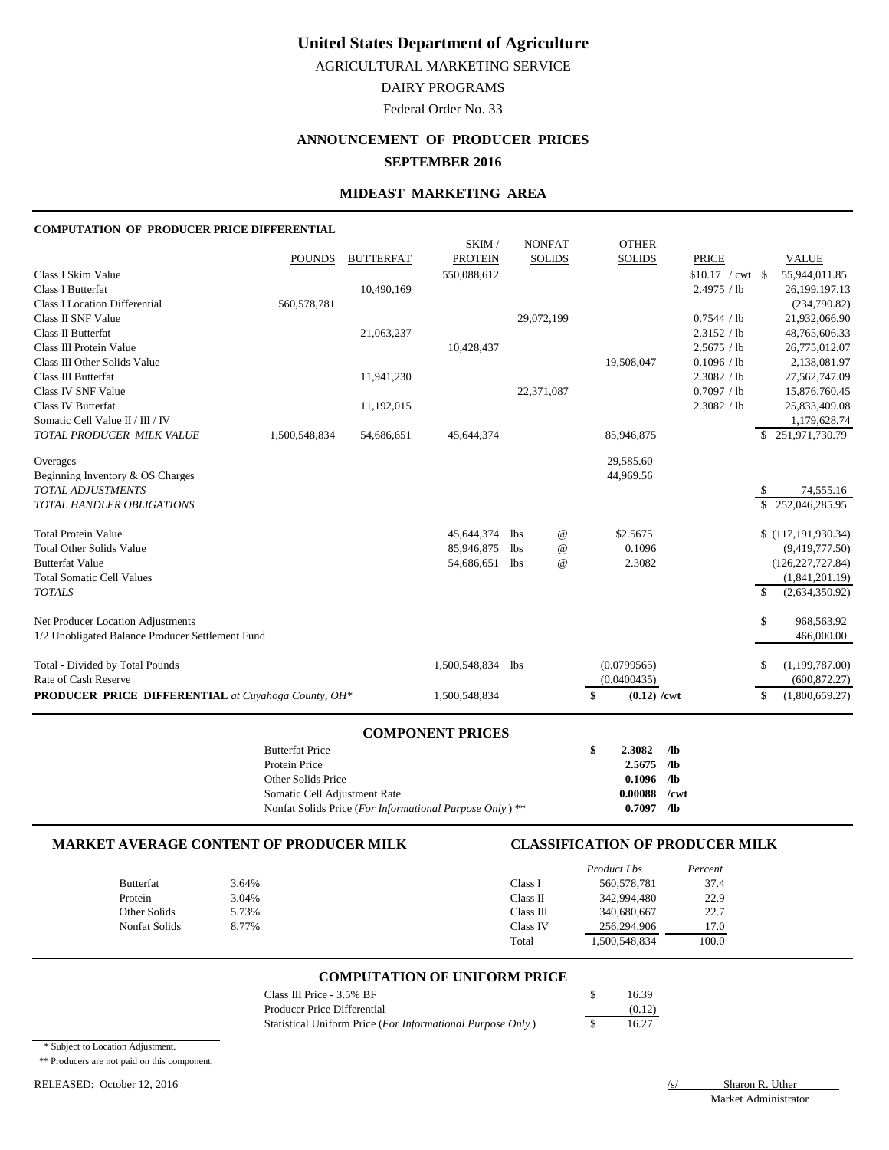AGRICULTURAL MARKETING SERVICE

DAIRY PROGRAMS

Federal Order No. 33

# **ANNOUNCEMENT OF PRODUCER PRICES**

## **SEPTEMBER 2016**

## **MIDEAST MARKETING AREA**

#### **COMPUTATION OF PRODUCER PRICE DIFFERENTIAL**

|                                                            |               |                  | SKIM/          |            | <b>NONFAT</b>   | <b>OTHER</b>        |                    |              |                    |
|------------------------------------------------------------|---------------|------------------|----------------|------------|-----------------|---------------------|--------------------|--------------|--------------------|
|                                                            | <b>POUNDS</b> | <b>BUTTERFAT</b> | <b>PROTEIN</b> |            | <b>SOLIDS</b>   | <b>SOLIDS</b>       | <b>PRICE</b>       |              | <b>VALUE</b>       |
| Class I Skim Value                                         |               |                  | 550,088,612    |            |                 |                     | $$10.17$ / cwt \\$ |              | 55,944,011.85      |
| <b>Class I Butterfat</b>                                   |               | 10,490,169       |                |            |                 |                     | 2.4975 / lb        |              | 26,199,197.13      |
| Class I Location Differential                              | 560,578,781   |                  |                |            |                 |                     |                    |              | (234,790.82)       |
| Class II SNF Value                                         |               |                  |                | 29,072,199 |                 |                     | 0.7544 / lb        |              | 21,932,066.90      |
| Class II Butterfat                                         |               | 21,063,237       |                |            |                 |                     | 2.3152 / lb        |              | 48,765,606.33      |
| Class III Protein Value                                    |               |                  | 10,428,437     |            |                 |                     | 2.5675 / lb        |              | 26,775,012.07      |
| Class III Other Solids Value                               |               |                  |                |            |                 | 19,508,047          | 0.1096 / lb        |              | 2,138,081.97       |
| Class III Butterfat                                        |               | 11,941,230       |                |            |                 |                     | 2.3082 / lb        |              | 27,562,747.09      |
| Class IV SNF Value                                         |               |                  |                | 22,371,087 |                 |                     | 0.7097 / lb        |              | 15,876,760.45      |
| <b>Class IV Butterfat</b>                                  |               | 11,192,015       |                |            |                 |                     | 2.3082 / lb        |              | 25,833,409.08      |
| Somatic Cell Value II / III / IV                           |               |                  |                |            |                 |                     |                    |              | 1,179,628.74       |
| TOTAL PRODUCER MILK VALUE                                  | 1,500,548,834 | 54,686,651       | 45,644,374     |            |                 | 85,946,875          |                    |              | \$251,971,730.79   |
| Overages                                                   |               |                  |                |            |                 | 29,585.60           |                    |              |                    |
| Beginning Inventory & OS Charges                           |               |                  |                |            |                 | 44,969.56           |                    |              |                    |
| <b>TOTAL ADJUSTMENTS</b>                                   |               |                  |                |            |                 |                     |                    | S            | 74,555.16          |
| <b>TOTAL HANDLER OBLIGATIONS</b>                           |               |                  |                |            |                 |                     |                    | \$.          | 252,046,285.95     |
| <b>Total Protein Value</b>                                 |               |                  | 45,644,374     | lbs        | $^{\copyright}$ | \$2.5675            |                    |              | \$(117,191,930.34) |
| <b>Total Other Solids Value</b>                            |               |                  | 85,946,875     | <b>lbs</b> | $^{\copyright}$ | 0.1096              |                    |              | (9,419,777.50)     |
| <b>Butterfat Value</b>                                     |               |                  | 54,686,651     | lbs        | $^{\copyright}$ | 2.3082              |                    |              | (126, 227, 727.84) |
| <b>Total Somatic Cell Values</b>                           |               |                  |                |            |                 |                     |                    |              | (1,841,201.19)     |
| <b>TOTALS</b>                                              |               |                  |                |            |                 |                     |                    | $\mathbb{S}$ | (2,634,350.92)     |
| Net Producer Location Adjustments                          |               |                  |                |            |                 |                     |                    | \$           | 968,563.92         |
| 1/2 Unobligated Balance Producer Settlement Fund           |               |                  |                |            |                 |                     |                    |              | 466,000.00         |
| Total - Divided by Total Pounds                            |               |                  | 1,500,548,834  | lbs        |                 | (0.0799565)         |                    | \$           | (1,199,787.00)     |
| Rate of Cash Reserve                                       |               |                  |                |            |                 | (0.0400435)         |                    |              | (600, 872.27)      |
| <b>PRODUCER PRICE DIFFERENTIAL</b> at Cuyahoga County, OH* |               |                  | 1,500,548,834  |            |                 | \$<br>$(0.12)$ /cwt |                    | S            | (1,800,659.27)     |

#### **COMPONENT PRICES**

| <b>Butterfat Price</b>                                    | S | 2.3082       | /lb     |
|-----------------------------------------------------------|---|--------------|---------|
| Protein Price                                             |   | $2.5675$ /lb |         |
| Other Solids Price                                        |   | $0.1096$ /lb |         |
| Somatic Cell Adjustment Rate                              |   | 0.00088      | $/$ cwt |
| Nonfat Solids Price (For Informational Purpose Only) $**$ |   | 0.7097       | Лb      |

### **MARKET AVERAGE CONTENT OF PRODUCER MILK CLASSIFICATION OF PRODUCER MILK**

|                      |       |           | Product Lbs   | Percent |
|----------------------|-------|-----------|---------------|---------|
| <b>Butterfat</b>     | 3.64% | Class I   | 560.578.781   | 37.4    |
| Protein              | 3.04% | Class II  | 342,994,480   | 22.9    |
| Other Solids         | 5.73% | Class III | 340,680,667   | 22.7    |
| <b>Nonfat Solids</b> | 8.77% | Class IV  | 256,294,906   | 17.0    |
|                      |       | Total     | 1,500,548,834 | 100.0   |

#### **COMPUTATION OF UNIFORM PRICE**

| Class III Price - $3.5\%$ BF                               | 16.39  |
|------------------------------------------------------------|--------|
| Producer Price Differential                                | (0.12) |
| Statistical Uniform Price (For Informational Purpose Only) | 16.27  |

\* Subject to Location Adjustment.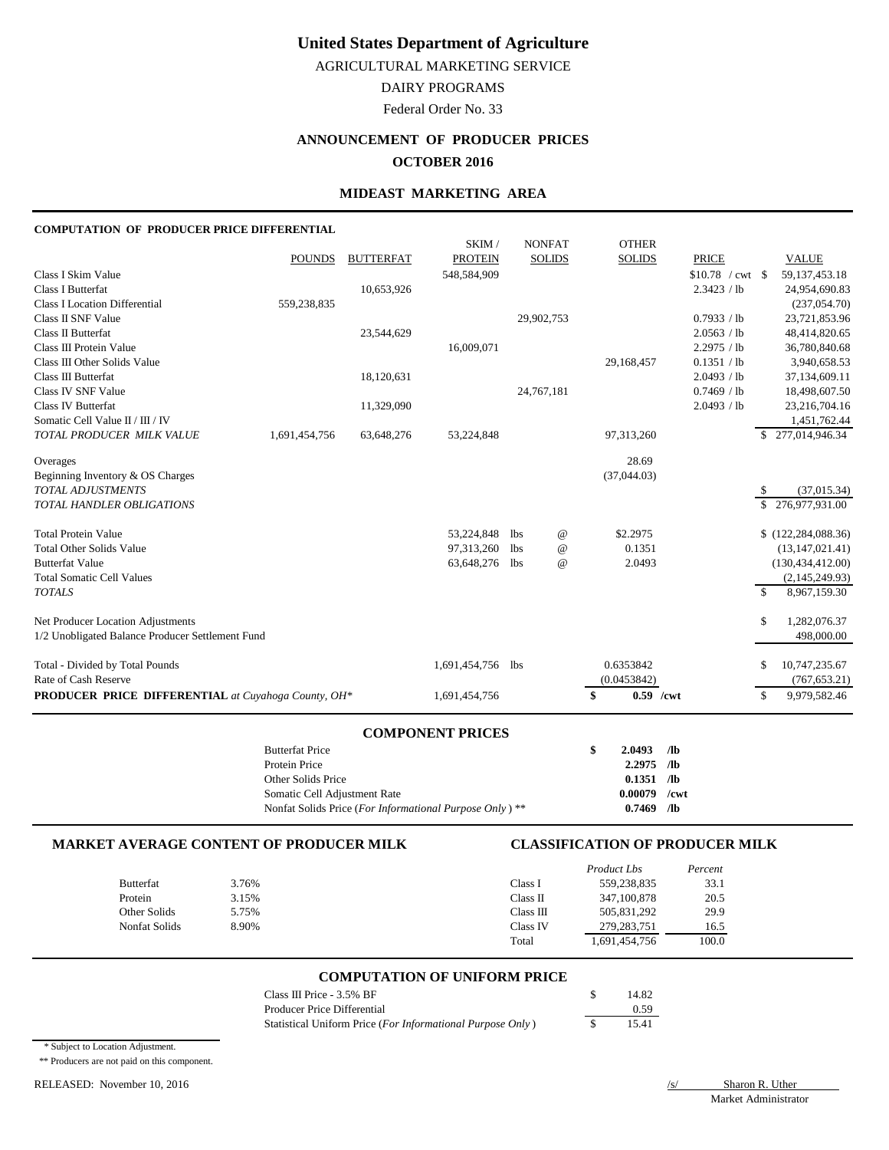AGRICULTURAL MARKETING SERVICE

DAIRY PROGRAMS

Federal Order No. 33

# **ANNOUNCEMENT OF PRODUCER PRICES**

## **OCTOBER 2016**

## **MIDEAST MARKETING AREA**

#### **COMPUTATION OF PRODUCER PRICE DIFFERENTIAL**

|                                                            |               |                  | SKIM/             |     | <b>NONFAT</b>   | <b>OTHER</b>      |                    |              |                      |
|------------------------------------------------------------|---------------|------------------|-------------------|-----|-----------------|-------------------|--------------------|--------------|----------------------|
|                                                            | <b>POUNDS</b> | <b>BUTTERFAT</b> | <b>PROTEIN</b>    |     | <b>SOLIDS</b>   | <b>SOLIDS</b>     | <b>PRICE</b>       |              | <b>VALUE</b>         |
| Class I Skim Value                                         |               |                  | 548,584,909       |     |                 |                   | $$10.78$ / cwt \\$ |              | 59, 137, 453. 18     |
| <b>Class I Butterfat</b>                                   |               | 10,653,926       |                   |     |                 |                   | 2.3423 / lb        |              | 24,954,690.83        |
| <b>Class I Location Differential</b>                       | 559,238,835   |                  |                   |     |                 |                   |                    |              | (237, 054.70)        |
| Class II SNF Value                                         |               |                  |                   |     | 29,902,753      |                   | 0.7933 / lb        |              | 23,721,853.96        |
| Class II Butterfat                                         |               | 23,544,629       |                   |     |                 |                   | 2.0563 / lb        |              | 48,414,820.65        |
| Class III Protein Value                                    |               |                  | 16,009,071        |     |                 |                   | 2.2975 / lb        |              | 36,780,840.68        |
| Class III Other Solids Value                               |               |                  |                   |     |                 | 29,168,457        | 0.1351 / lb        |              | 3,940,658.53         |
| Class III Butterfat                                        |               | 18,120,631       |                   |     |                 |                   | 2.0493 / lb        |              | 37,134,609.11        |
| Class IV SNF Value                                         |               |                  |                   |     | 24,767,181      |                   | 0.7469 / lb        |              | 18,498,607.50        |
| <b>Class IV Butterfat</b>                                  |               | 11,329,090       |                   |     |                 |                   | 2.0493 / lb        |              | 23,216,704.16        |
| Somatic Cell Value II / III / IV                           |               |                  |                   |     |                 |                   |                    |              | 1,451,762.44         |
| TOTAL PRODUCER MILK VALUE                                  | 1,691,454,756 | 63,648,276       | 53,224,848        |     |                 | 97,313,260        |                    |              | \$277,014,946.34     |
| Overages                                                   |               |                  |                   |     |                 | 28.69             |                    |              |                      |
| Beginning Inventory & OS Charges                           |               |                  |                   |     |                 | (37,044.03)       |                    |              |                      |
| <b>TOTAL ADJUSTMENTS</b>                                   |               |                  |                   |     |                 |                   |                    | S            | (37, 015.34)         |
| <b>TOTAL HANDLER OBLIGATIONS</b>                           |               |                  |                   |     |                 |                   |                    | \$           | 276,977,931.00       |
| <b>Total Protein Value</b>                                 |               |                  | 53,224,848        | lbs | $^{\copyright}$ | \$2.2975          |                    |              | \$(122, 284, 088.36) |
| <b>Total Other Solids Value</b>                            |               |                  | 97,313,260        | lbs | $^{\copyright}$ | 0.1351            |                    |              | (13, 147, 021.41)    |
| <b>Butterfat Value</b>                                     |               |                  | 63,648,276        | lbs | $^{\omega}{}$   | 2.0493            |                    |              | (130, 434, 412.00)   |
| <b>Total Somatic Cell Values</b>                           |               |                  |                   |     |                 |                   |                    |              | (2,145,249.93)       |
| <b>TOTALS</b>                                              |               |                  |                   |     |                 |                   |                    | $\mathbb{S}$ | 8,967,159.30         |
| Net Producer Location Adjustments                          |               |                  |                   |     |                 |                   |                    | \$           | 1,282,076.37         |
| 1/2 Unobligated Balance Producer Settlement Fund           |               |                  |                   |     |                 |                   |                    |              | 498,000.00           |
|                                                            |               |                  |                   |     |                 |                   |                    |              |                      |
| Total - Divided by Total Pounds                            |               |                  | 1,691,454,756 lbs |     |                 | 0.6353842         |                    | \$           | 10,747,235.67        |
| Rate of Cash Reserve                                       |               |                  |                   |     |                 | (0.0453842)       |                    |              | (767, 653.21)        |
| <b>PRODUCER PRICE DIFFERENTIAL</b> at Cuyahoga County, OH* |               |                  | 1,691,454,756     |     |                 | \$<br>$0.59$ /cwt |                    | \$           | 9,979,582.46         |

#### **COMPONENT PRICES**

| <b>Butterfat Price</b>                                    | 2.0493  | /lb     |
|-----------------------------------------------------------|---------|---------|
| Protein Price                                             | 2.2975  | /lb     |
| Other Solids Price                                        | 0.1351  | /1Ь     |
| Somatic Cell Adjustment Rate                              | 0.00079 | $/$ cwt |
| Nonfat Solids Price (For Informational Purpose Only) $**$ | 0.7469  | Лb      |

### **MARKET AVERAGE CONTENT OF PRODUCER MILK CLASSIFICATION OF PRODUCER MILK**

|                  |       |           | Product Lbs   | Percent |
|------------------|-------|-----------|---------------|---------|
| <b>Butterfat</b> | 3.76% | Class I   | 559,238,835   | 33.1    |
| Protein          | 3.15% | Class II  | 347,100,878   | 20.5    |
| Other Solids     | 5.75% | Class III | 505,831,292   | 29.9    |
| Nonfat Solids    | 8.90% | Class IV  | 279, 283, 751 | 16.5    |
|                  |       | Total     | 1,691,454,756 | 100.0   |

#### **COMPUTATION OF UNIFORM PRICE**

| Class III Price - $3.5\%$ BF                               | 14.82 |
|------------------------------------------------------------|-------|
| Producer Price Differential                                | 0.59  |
| Statistical Uniform Price (For Informational Purpose Only) | 15.41 |

\* Subject to Location Adjustment.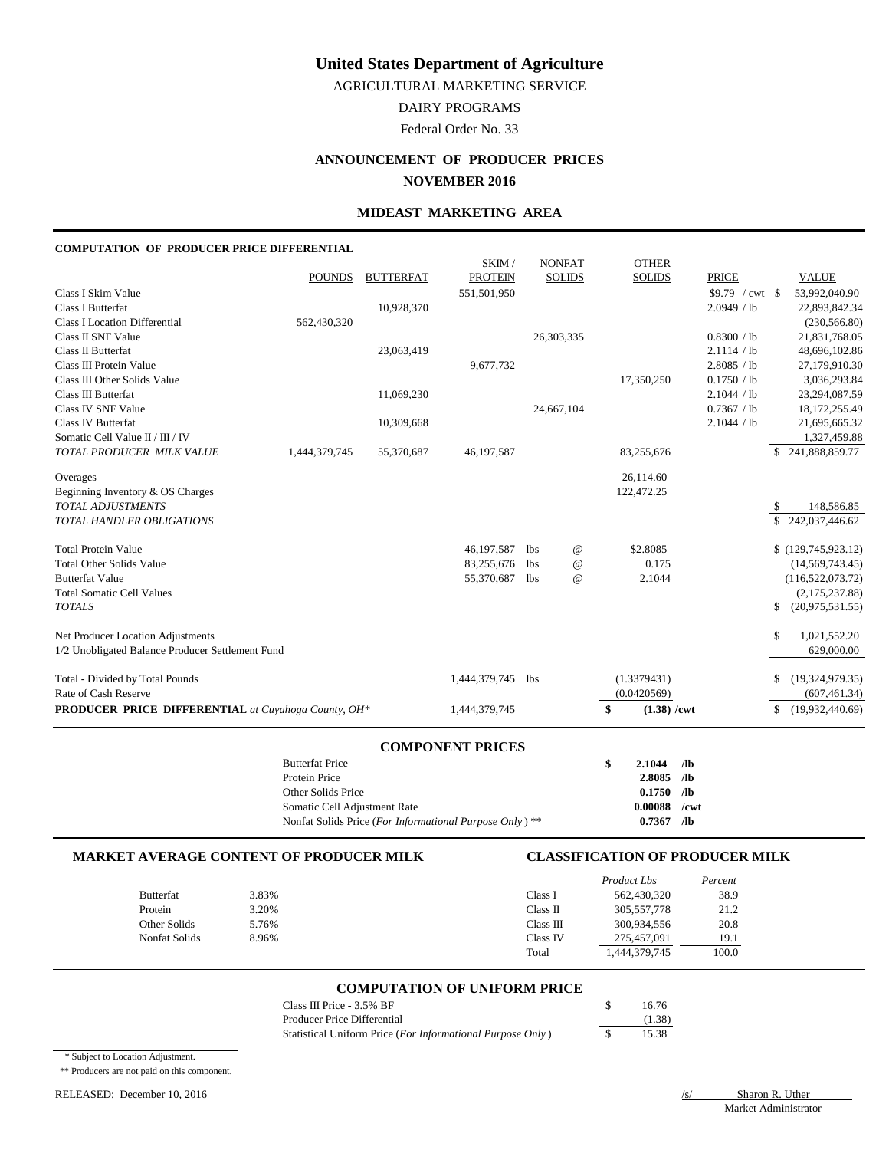AGRICULTURAL MARKETING SERVICE

DAIRY PROGRAMS

Federal Order No. 33

## **ANNOUNCEMENT OF PRODUCER PRICES NOVEMBER 2016**

#### **MIDEAST MARKETING AREA**

### **COMPUTATION OF PRODUCER PRICE DIFFERENTIAL**

|                                                            |               |                  | SKIM/          |            | <b>NONFAT</b>   | <b>OTHER</b>                |                   |               |                    |
|------------------------------------------------------------|---------------|------------------|----------------|------------|-----------------|-----------------------------|-------------------|---------------|--------------------|
|                                                            | <b>POUNDS</b> | <b>BUTTERFAT</b> | <b>PROTEIN</b> |            | <b>SOLIDS</b>   | <b>SOLIDS</b>               | <b>PRICE</b>      |               | <b>VALUE</b>       |
| Class I Skim Value                                         |               |                  | 551,501,950    |            |                 |                             | $$9.79$ / cwt \\$ |               | 53,992,040.90      |
| <b>Class I Butterfat</b>                                   |               | 10,928,370       |                |            |                 |                             | 2.0949 / lb       |               | 22,893,842.34      |
| <b>Class I Location Differential</b>                       | 562,430,320   |                  |                |            |                 |                             |                   |               | (230, 566.80)      |
| Class II SNF Value                                         |               |                  |                |            | 26,303,335      |                             | 0.8300 / lb       |               | 21,831,768.05      |
| Class II Butterfat                                         |               | 23,063,419       |                |            |                 |                             | 2.1114 / lb       |               | 48,696,102.86      |
| Class III Protein Value                                    |               |                  | 9,677,732      |            |                 |                             | 2.8085 / lb       |               | 27,179,910.30      |
| Class III Other Solids Value                               |               |                  |                |            |                 | 17,350,250                  | 0.1750 / lb       |               | 3,036,293.84       |
| Class III Butterfat                                        |               | 11,069,230       |                |            |                 |                             | 2.1044 / lb       |               | 23,294,087.59      |
| Class IV SNF Value                                         |               |                  |                |            | 24,667,104      |                             | 0.7367 / lb       |               | 18,172,255.49      |
| <b>Class IV Butterfat</b>                                  |               | 10,309,668       |                |            |                 |                             | 2.1044 / lb       |               | 21,695,665.32      |
| Somatic Cell Value II / III / IV                           |               |                  |                |            |                 |                             |                   |               | 1,327,459.88       |
| TOTAL PRODUCER MILK VALUE                                  | 1,444,379,745 | 55,370,687       | 46,197,587     |            |                 | 83,255,676                  |                   | \$            | 241,888,859.77     |
| Overages                                                   |               |                  |                |            |                 | 26,114.60                   |                   |               |                    |
| Beginning Inventory & OS Charges                           |               |                  |                |            |                 | 122,472.25                  |                   |               |                    |
| <b>TOTAL ADJUSTMENTS</b>                                   |               |                  |                |            |                 |                             |                   | S             | 148,586.85         |
| TOTAL HANDLER OBLIGATIONS                                  |               |                  |                |            |                 |                             |                   | \$.           | 242,037,446.62     |
| <b>Total Protein Value</b>                                 |               |                  | 46,197,587     | <b>lbs</b> | $^{\copyright}$ | \$2.8085                    |                   |               | \$(129,745,923.12) |
| <b>Total Other Solids Value</b>                            |               |                  | 83,255,676     | <b>lbs</b> | $^{\copyright}$ | 0.175                       |                   |               | (14, 569, 743.45)  |
| <b>Butterfat Value</b>                                     |               |                  | 55,370,687     | <b>lbs</b> | $^{\copyright}$ | 2.1044                      |                   |               | (116, 522, 073.72) |
| <b>Total Somatic Cell Values</b>                           |               |                  |                |            |                 |                             |                   |               | (2,175,237.88)     |
| <b>TOTALS</b>                                              |               |                  |                |            |                 |                             |                   | \$            | (20.975.531.55)    |
| Net Producer Location Adjustments                          |               |                  |                |            |                 |                             |                   | $\mathsf{\$}$ | 1,021,552.20       |
| 1/2 Unobligated Balance Producer Settlement Fund           |               |                  |                |            |                 |                             |                   |               | 629,000.00         |
| Total - Divided by Total Pounds                            |               |                  | 1,444,379,745  | <b>lbs</b> |                 | (1.3379431)                 |                   | \$            | (19,324,979.35)    |
| Rate of Cash Reserve                                       |               |                  |                |            |                 | (0.0420569)                 |                   |               | (607, 461.34)      |
| <b>PRODUCER PRICE DIFFERENTIAL</b> at Cuyahoga County, OH* |               |                  | 1,444,379,745  |            |                 | \$<br>$(1.38) / \text{cwt}$ |                   | \$            | (19,932,440.69)    |
|                                                            |               |                  |                |            |                 |                             |                   |               |                    |

### **COMPONENT PRICES**

| <b>Butterfat Price</b>                                  | 2.1044         | $\sqrt{a}$ |
|---------------------------------------------------------|----------------|------------|
| Protein Price                                           | $2.8085$ /lb   |            |
| Other Solids Price                                      | $0.1750$ /lb   |            |
| Somatic Cell Adjustment Rate                            | $0.00088$ /cwt |            |
| Nonfat Solids Price (For Informational Purpose Only) ** | 0.7367         | - ⁄1Ь      |

#### **MARKET AVERAGE CONTENT OF PRODUCER MILK CLASSIFICATION OF PRODUCER MILK**

|                  |       |           | Product Lbs   | Percent |
|------------------|-------|-----------|---------------|---------|
| <b>Butterfat</b> | 3.83% | Class I   | 562,430,320   | 38.9    |
| Protein          | 3.20% | Class II  | 305,557,778   | 21.2    |
| Other Solids     | 5.76% | Class III | 300.934.556   | 20.8    |
| Nonfat Solids    | 8.96% | Class IV  | 275,457,091   | 19.1    |
|                  |       | Total     | 1,444,379,745 | 100.0   |

#### **COMPUTATION OF UNIFORM PRICE**

| Class III Price $-3.5\%$ BF                                | 16.76  |
|------------------------------------------------------------|--------|
| Producer Price Differential                                | (1.38) |
| Statistical Uniform Price (For Informational Purpose Only) | 15.38  |

\* Subject to Location Adjustment.